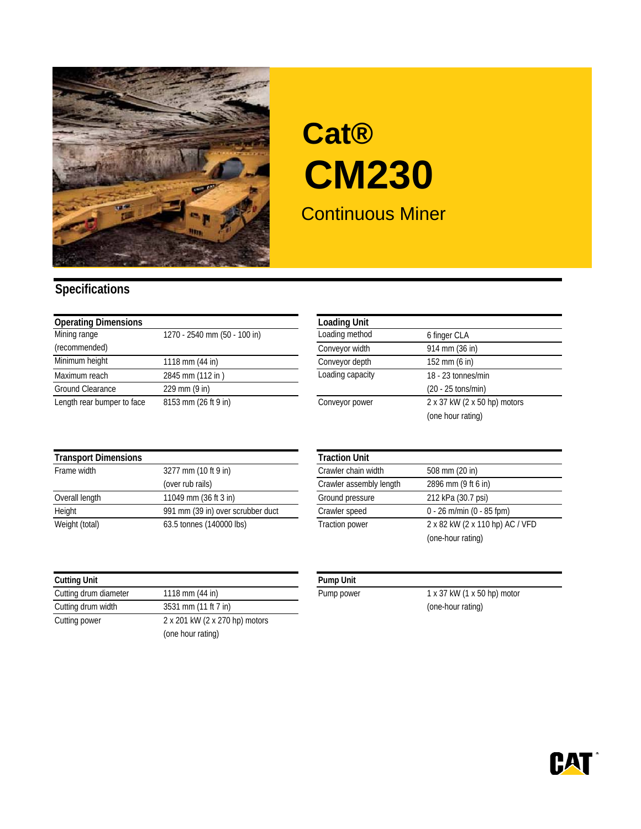

## Continuous Miner **Cat® CM230**

## **Specifications**

| <b>Operating Dimensions</b> |                              | <b>Loading Unit</b> |                              |
|-----------------------------|------------------------------|---------------------|------------------------------|
| Mining range                | 1270 - 2540 mm (50 - 100 in) | Loading method      | 6 finger CLA                 |
| (recommended)               |                              | Conveyor width      | 914 mm (36 in)               |
| Minimum height              | 1118 mm (44 in)              | Conveyor depth      | 152 mm (6 in)                |
| Maximum reach               | 2845 mm (112 in)             | Loading capacity    | 18 - 23 tonnes/min           |
| Ground Clearance            | 229 mm (9 in)                |                     | $(20 - 25 \text{ tons/min})$ |
| Length rear bumper to face  | 8153 mm (26 ft 9 in)         | Conveyor power      | 2 x 37 kW (2 x 50 hp) motors |

| <b>Loading Unit</b> |                              |
|---------------------|------------------------------|
| Loading method      | 6 finger CLA                 |
| Conveyor width      | 914 mm (36 in)               |
| Conveyor depth      | 152 mm (6 in)                |
| Loading capacity    | 18 - 23 tonnes/min           |
|                     | $(20 - 25 \text{ tons/min})$ |
| Conveyor power      | 2 x 37 kW (2 x 50 hp) motors |
|                     | (one hour rating)            |

| <b>Transport Dimensions</b> |                                   | <b>Traction Unit</b>    |                                 |
|-----------------------------|-----------------------------------|-------------------------|---------------------------------|
| Frame width                 | 3277 mm (10 ft 9 in)              | Crawler chain width     | 508 mm (20 in)                  |
|                             | (over rub rails)                  | Crawler assembly length | 2896 mm (9 ft 6 in)             |
| Overall length              | 11049 mm (36 ft 3 in)             | Ground pressure         | 212 kPa (30.7 psi)              |
| Height                      | 991 mm (39 in) over scrubber duct | Crawler speed           | $0 - 26$ m/min (0 - 85 fpm)     |
| Weight (total)              | 63.5 tonnes (140000 lbs)          | <b>Traction power</b>   | 2 x 82 kW (2 x 110 hp) AC / VFD |

| <b>Cutting Unit</b>   |                                | <b>Pump Unit</b> |
|-----------------------|--------------------------------|------------------|
| Cutting drum diameter | 1118 mm (44 in)                | Pump powe        |
| Cutting drum width    | 3531 mm (11 ft 7 in)           |                  |
| Cutting power         | 2 x 201 kW (2 x 270 hp) motors |                  |
|                       | (one hour rating)              |                  |

|                                   | <b>Traction Unit</b>    |                                 |
|-----------------------------------|-------------------------|---------------------------------|
| 3277 mm (10 ft 9 in)              | Crawler chain width     | 508 mm (20 in)                  |
| (over rub rails)                  | Crawler assembly length | 2896 mm (9 ft 6 in)             |
| 11049 mm (36 ft 3 in)             | Ground pressure         | 212 kPa (30.7 psi)              |
| 991 mm (39 in) over scrubber duct | Crawler speed           | $0 - 26$ m/min (0 - 85 fpm)     |
| 63.5 tonnes (140000 lbs)          | <b>Traction power</b>   | 2 x 82 kW (2 x 110 hp) AC / VFD |
|                                   |                         | (one-hour rating)               |

| nn | ۱i |
|----|----|
|    |    |

Pump power 1 x 37 kW (1 x 50 hp) motor (one-hour rating)

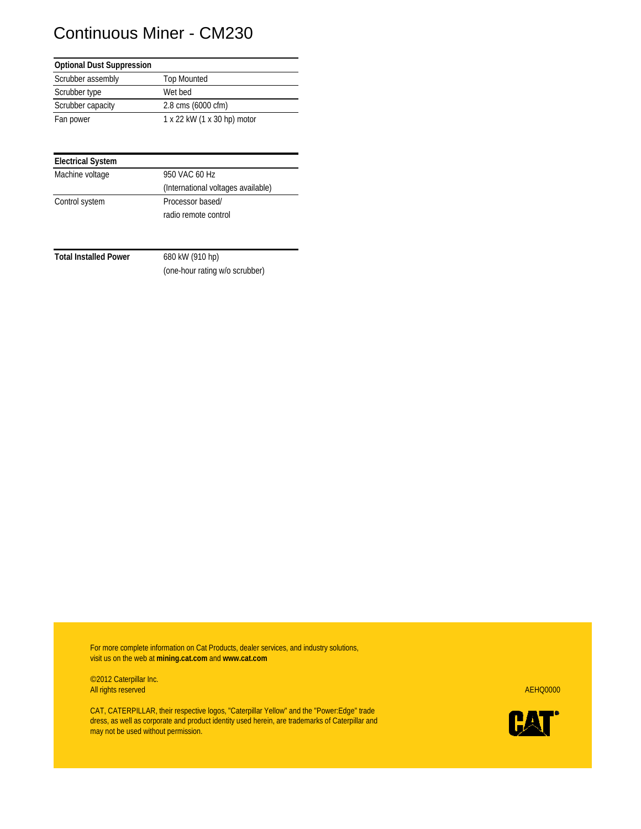## Continuous Miner - CM230

| <b>Optional Dust Suppression</b> |                             |
|----------------------------------|-----------------------------|
| Scrubber assembly                | <b>Top Mounted</b>          |
| Scrubber type                    | Wet bed                     |
| Scrubber capacity                | 2.8 cms (6000 cfm)          |
| Fan power                        | 1 x 22 kW (1 x 30 hp) motor |

| <b>Electrical System</b> |                                    |
|--------------------------|------------------------------------|
| Machine voltage          | 950 VAC 60 Hz                      |
|                          | (International voltages available) |
| Control system           | Processor based/                   |
|                          | radio remote control               |

**Total Installed Power** 680 kW (910 hp)

(one-hour rating w/o scrubber)

For more complete information on Cat Products, dealer services, and industry solutions, visit us on the web at **mining.cat.com** and **www.cat.com**

©2012 Caterpillar Inc. All rights reserved AEHQ0000

CAT, CATERPILLAR, their respective logos, "Caterpillar Yellow" and the "Power:Edge" trade dress, as well as corporate and product identity used herein, are trademarks of Caterpillar and may not be used without permission.